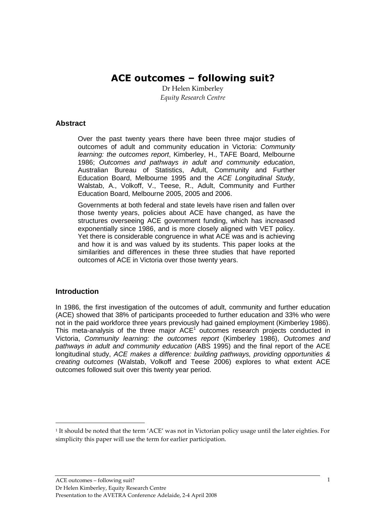# ACE outcomes – following suit?

Dr Helen Kimberley Equity Research Centre

## **Abstract**

Over the past twenty years there have been three major studies of outcomes of adult and community education in Victoria: Community learning: the outcomes report, Kimberley, H., TAFE Board, Melbourne 1986; Outcomes and pathways in adult and community education, Australian Bureau of Statistics, Adult, Community and Further Education Board, Melbourne 1995 and the ACE Longitudinal Study, Walstab, A., Volkoff, V., Teese, R., Adult, Community and Further Education Board, Melbourne 2005, 2005 and 2006.

Governments at both federal and state levels have risen and fallen over those twenty years, policies about ACE have changed, as have the structures overseeing ACE government funding, which has increased exponentially since 1986, and is more closely aligned with VET policy. Yet there is considerable congruence in what ACE was and is achieving and how it is and was valued by its students. This paper looks at the similarities and differences in these three studies that have reported outcomes of ACE in Victoria over those twenty years.

#### **Introduction**

-

In 1986, the first investigation of the outcomes of adult, community and further education (ACE) showed that 38% of participants proceeded to further education and 33% who were not in the paid workforce three years previously had gained employment (Kimberley 1986). This meta-analysis of the three major  $ACE<sup>1</sup>$  outcomes research projects conducted in Victoria, Community learning: the outcomes report (Kimberley 1986), Outcomes and pathways in adult and community education (ABS 1995) and the final report of the ACE longitudinal study, ACE makes a difference: building pathways, providing opportunities & creating outcomes (Walstab, Volkoff and Teese 2006) explores to what extent ACE outcomes followed suit over this twenty year period.

<sup>1</sup> It should be noted that the term 'ACE' was not in Victorian policy usage until the later eighties. For simplicity this paper will use the term for earlier participation.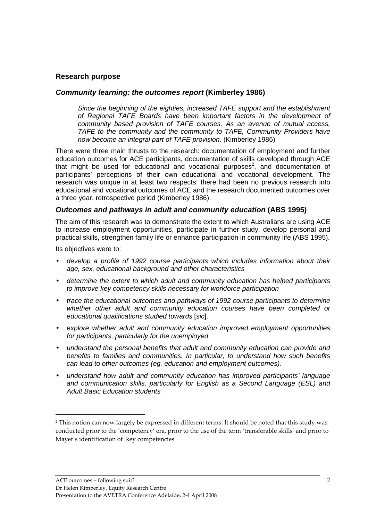## **Research purpose**

#### **Community learning: the outcomes report (Kimberley 1986)**

Since the beginning of the eighties, increased TAFE support and the establishment of Regional TAFE Boards have been important factors in the development of community based provision of TAFE courses. As an avenue of mutual access, TAFE to the community and the community to TAFE, Community Providers have now become an integral part of TAFE provision. (Kimberley 1986)

There were three main thrusts to the research: documentation of employment and further education outcomes for ACE participants, documentation of skills developed through ACE that might be used for educational and vocational purposes<sup>2</sup>, and documentation of participants' perceptions of their own educational and vocational development. The research was unique in at least two respects: there had been no previous research into educational and vocational outcomes of ACE and the research documented outcomes over a three year, retrospective period (Kimberley 1986).

#### **Outcomes and pathways in adult and community education (ABS 1995)**

The aim of this research was to demonstrate the extent to which Australians are using ACE to increase employment opportunities, participate in further study, develop personal and practical skills, strengthen family life or enhance participation in community life (ABS 1995).

Its objectives were to:

-

- develop a profile of 1992 course participants which includes information about their age, sex, educational background and other characteristics
- determine the extent to which adult and community education has helped participants to improve key competency skills necessary for workforce participation
- trace the educational outcomes and pathways of 1992 course participants to determine whether other adult and community education courses have been completed or educational qualifications studied towards [sic].
- explore whether adult and community education improved employment opportunities for participants, particularly for the unemployed
- understand the personal benefits that adult and community education can provide and benefits to families and communities. In particular, to understand how such benefits can lead to other outcomes (eg. education and employment outcomes).
- understand how adult and community education has improved participants' language and communication skills, particularly for English as a Second Language (ESL) and Adult Basic Education students

<sup>2</sup> This notion can now largely be expressed in different terms. It should be noted that this study was conducted prior to the 'competency' era, prior to the use of the term 'transferable skills' and prior to Mayer's identification of 'key competencies'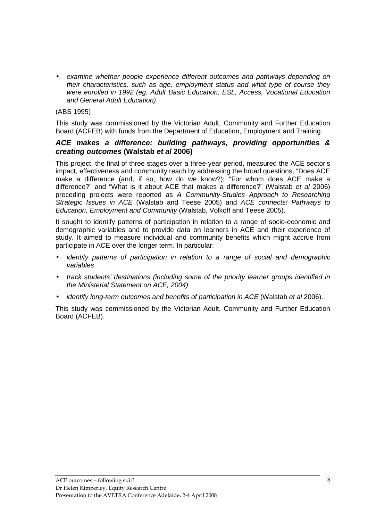• examine whether people experience different outcomes and pathways depending on their characteristics, such as age, employment status and what type of course they were enrolled in 1992 (eg. Adult Basic Education, ESL, Access, Vocational Education and General Adult Education)

(ABS 1995)

This study was commissioned by the Victorian Adult, Community and Further Education Board (ACFEB) with funds from the Department of Education, Employment and Training.

#### **ACE makes a difference: building pathways, providing opportunities & creating outcomes (Walstab et al 2006)**

This project, the final of three stages over a three-year period, measured the ACE sector's impact, effectiveness and community reach by addressing the broad questions, "Does ACE make a difference (and, if so, how do we know?); "For whom does ACE make a difference?" and "What is it about ACE that makes a difference?" (Walstab et al 2006) preceding projects were reported as A Community-Studies Approach to Researching Strategic Issues in ACE (Walstab and Teese 2005) and ACE connects! Pathways to Education, Employment and Community (Walstab, Volkoff and Teese 2005).

It sought to identify patterns of participation in relation to a range of socio-economic and demographic variables and to provide data on learners in ACE and their experience of study. It aimed to measure individual and community benefits which might accrue from participate in ACE over the longer term. In particular:

- identify patterns of participation in relation to a range of social and demographic variables
- track students' destinations (including some of the priority learner groups identified in the Ministerial Statement on ACE, 2004)
- identify long-term outcomes and benefits of participation in ACE (Walstab et al 2006).

This study was commissioned by the Victorian Adult, Community and Further Education Board (ACFEB).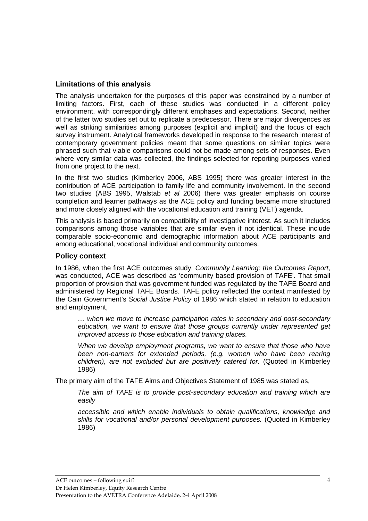# **Limitations of this analysis**

The analysis undertaken for the purposes of this paper was constrained by a number of limiting factors. First, each of these studies was conducted in a different policy environment, with correspondingly different emphases and expectations. Second, neither of the latter two studies set out to replicate a predecessor. There are major divergences as well as striking similarities among purposes (explicit and implicit) and the focus of each survey instrument. Analytical frameworks developed in response to the research interest of contemporary government policies meant that some questions on similar topics were phrased such that viable comparisons could not be made among sets of responses. Even where very similar data was collected, the findings selected for reporting purposes varied from one project to the next.

In the first two studies (Kimberley 2006, ABS 1995) there was greater interest in the contribution of ACE participation to family life and community involvement. In the second two studies (ABS 1995, Walstab et al 2006) there was greater emphasis on course completion and learner pathways as the ACE policy and funding became more structured and more closely aligned with the vocational education and training (VET) agenda.

This analysis is based primarily on compatibility of investigative interest. As such it includes comparisons among those variables that are similar even if not identical. These include comparable socio-economic and demographic information about ACE participants and among educational, vocational individual and community outcomes.

## **Policy context**

In 1986, when the first ACE outcomes study, Community Learning: the Outcomes Report, was conducted, ACE was described as 'community based provision of TAFE'. That small proportion of provision that was government funded was regulated by the TAFE Board and administered by Regional TAFE Boards. TAFE policy reflected the context manifested by the Cain Government's Social Justice Policy of 1986 which stated in relation to education and employment,

… when we move to increase participation rates in secondary and post-secondary education, we want to ensure that those groups currently under represented get improved access to those education and training places.

When we develop employment programs, we want to ensure that those who have been non-earners for extended periods, (e.g. women who have been rearing children), are not excluded but are positively catered for. (Quoted in Kimberley 1986)

The primary aim of the TAFE Aims and Objectives Statement of 1985 was stated as,

The aim of TAFE is to provide post-secondary education and training which are easily

accessible and which enable individuals to obtain qualifications, knowledge and skills for vocational and/or personal development purposes. (Quoted in Kimberley 1986)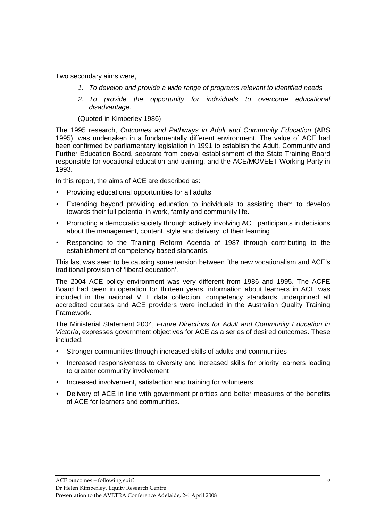Two secondary aims were,

- 1. To develop and provide a wide range of programs relevant to identified needs
- 2. To provide the opportunity for individuals to overcome educational disadvantage.

(Quoted in Kimberley 1986)

The 1995 research, Outcomes and Pathways in Adult and Community Education (ABS 1995), was undertaken in a fundamentally different environment. The value of ACE had been confirmed by parliamentary legislation in 1991 to establish the Adult, Community and Further Education Board, separate from coeval establishment of the State Training Board responsible for vocational education and training, and the ACE/MOVEET Working Party in 1993.

In this report, the aims of ACE are described as:

- Providing educational opportunities for all adults
- Extending beyond providing education to individuals to assisting them to develop towards their full potential in work, family and community life.
- Promoting a democratic society through actively involving ACE participants in decisions about the management, content, style and delivery of their learning
- Responding to the Training Reform Agenda of 1987 through contributing to the establishment of competency based standards.

This last was seen to be causing some tension between "the new vocationalism and ACE's traditional provision of 'liberal education'.

The 2004 ACE policy environment was very different from 1986 and 1995. The ACFE Board had been in operation for thirteen years, information about learners in ACE was included in the national VET data collection, competency standards underpinned all accredited courses and ACE providers were included in the Australian Quality Training Framework.

The Ministerial Statement 2004, Future Directions for Adult and Community Education in Victoria, expresses government objectives for ACE as a series of desired outcomes. These included:

- Stronger communities through increased skills of adults and communities
- Increased responsiveness to diversity and increased skills for priority learners leading to greater community involvement
- Increased involvement, satisfaction and training for volunteers
- Delivery of ACE in line with government priorities and better measures of the benefits of ACE for learners and communities.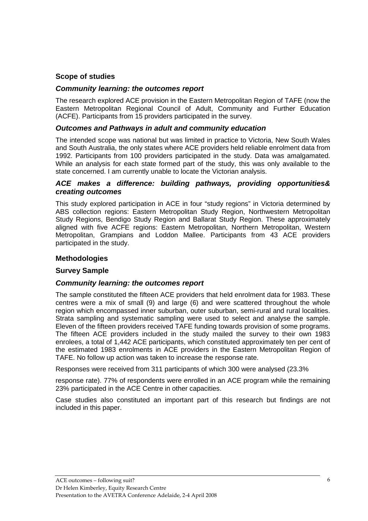# **Scope of studies**

# **Community learning: the outcomes report**

The research explored ACE provision in the Eastern Metropolitan Region of TAFE (now the Eastern Metropolitan Regional Council of Adult, Community and Further Education (ACFE). Participants from 15 providers participated in the survey.

## **Outcomes and Pathways in adult and community education**

The intended scope was national but was limited in practice to Victoria, New South Wales and South Australia, the only states where ACE providers held reliable enrolment data from 1992. Participants from 100 providers participated in the study. Data was amalgamated. While an analysis for each state formed part of the study, this was only available to the state concerned. I am currently unable to locate the Victorian analysis.

## **ACE makes a difference: building pathways, providing opportunities& creating outcomes**

This study explored participation in ACE in four "study regions" in Victoria determined by ABS collection regions: Eastern Metropolitan Study Region, Northwestern Metropolitan Study Regions, Bendigo Study Region and Ballarat Study Region. These approximately aligned with five ACFE regions: Eastern Metropolitan, Northern Metropolitan, Western Metropolitan, Grampians and Loddon Mallee. Participants from 43 ACE providers participated in the study.

# **Methodologies**

# **Survey Sample**

#### **Community learning: the outcomes report**

The sample constituted the fifteen ACE providers that held enrolment data for 1983. These centres were a mix of small (9) and large (6) and were scattered throughout the whole region which encompassed inner suburban, outer suburban, semi-rural and rural localities. Strata sampling and systematic sampling were used to select and analyse the sample. Eleven of the fifteen providers received TAFE funding towards provision of some programs. The fifteen ACE providers included in the study mailed the survey to their own 1983 enrolees, a total of 1,442 ACE participants, which constituted approximately ten per cent of the estimated 1983 enrolments in ACE providers in the Eastern Metropolitan Region of TAFE. No follow up action was taken to increase the response rate.

Responses were received from 311 participants of which 300 were analysed (23.3%

response rate). 77% of respondents were enrolled in an ACE program while the remaining 23% participated in the ACE Centre in other capacities.

Case studies also constituted an important part of this research but findings are not included in this paper.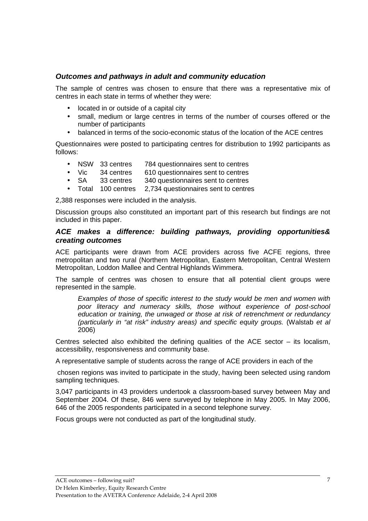# **Outcomes and pathways in adult and community education**

The sample of centres was chosen to ensure that there was a representative mix of centres in each state in terms of whether they were:

- located in or outside of a capital city
- small, medium or large centres in terms of the number of courses offered or the number of participants
- balanced in terms of the socio-economic status of the location of the ACE centres

Questionnaires were posted to participating centres for distribution to 1992 participants as follows:

- NSW 33 centres 784 questionnaires sent to centres
- Vic 34 centres 610 questionnaires sent to centres
- SA 33 centres 340 questionnaires sent to centres
- Total 100 centres 2,734 questionnaires sent to centres

2,388 responses were included in the analysis.

Discussion groups also constituted an important part of this research but findings are not included in this paper.

#### **ACE makes a difference: building pathways, providing opportunities& creating outcomes**

ACE participants were drawn from ACE providers across five ACFE regions, three metropolitan and two rural (Northern Metropolitan, Eastern Metropolitan, Central Western Metropolitan, Loddon Mallee and Central Highlands Wimmera.

The sample of centres was chosen to ensure that all potential client groups were represented in the sample.

Examples of those of specific interest to the study would be men and women with poor literacy and numeracy skills, those without experience of post-school education or training, the unwaged or those at risk of retrenchment or redundancy (particularly in "at risk" industry areas) and specific equity groups. (Walstab et al 2006)

Centres selected also exhibited the defining qualities of the ACE sector – its localism, accessibility, responsiveness and community base.

A representative sample of students across the range of ACE providers in each of the

 chosen regions was invited to participate in the study, having been selected using random sampling techniques.

3,047 participants in 43 providers undertook a classroom-based survey between May and September 2004. Of these, 846 were surveyed by telephone in May 2005. In May 2006, 646 of the 2005 respondents participated in a second telephone survey.

Focus groups were not conducted as part of the longitudinal study.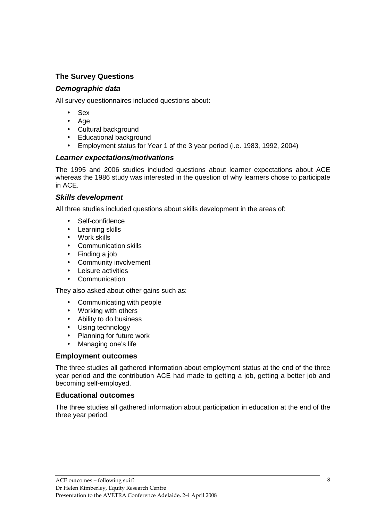# **The Survey Questions**

# **Demographic data**

All survey questionnaires included questions about:

- Sex
- Age
- Cultural background
- Educational background
- Employment status for Year 1 of the 3 year period (i.e. 1983, 1992, 2004)

# **Learner expectations/motivations**

The 1995 and 2006 studies included questions about learner expectations about ACE whereas the 1986 study was interested in the question of why learners chose to participate in ACE.

## **Skills development**

All three studies included questions about skills development in the areas of:

- Self-confidence
- Learning skills
- Work skills
- Communication skills
- Finding a job
- Community involvement
- Leisure activities
- Communication

They also asked about other gains such as:

- Communicating with people
- Working with others
- Ability to do business
- Using technology
- Planning for future work
- Managing one's life

# **Employment outcomes**

The three studies all gathered information about employment status at the end of the three year period and the contribution ACE had made to getting a job, getting a better job and becoming self-employed.

# **Educational outcomes**

The three studies all gathered information about participation in education at the end of the three year period.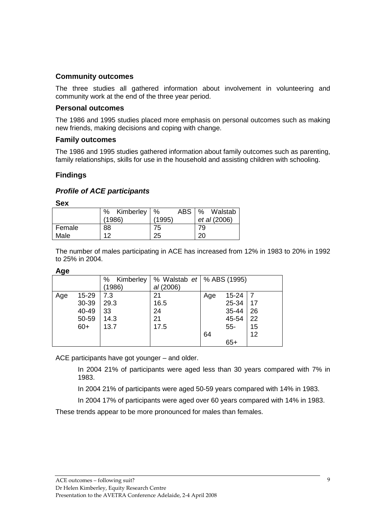## **Community outcomes**

The three studies all gathered information about involvement in volunteering and community work at the end of the three year period.

#### **Personal outcomes**

The 1986 and 1995 studies placed more emphasis on personal outcomes such as making new friends, making decisions and coping with change.

#### **Family outcomes**

The 1986 and 1995 studies gathered information about family outcomes such as parenting, family relationships, skills for use in the household and assisting children with schooling.

## **Findings**

## **Profile of ACE participants**

**Sex** 

|        | Kimberley  <br>% | <b>ABS</b><br>$\%$ | Walstab<br>% |
|--------|------------------|--------------------|--------------|
|        | (1986)           | (1995)             | et al (2006) |
| Female | 88               | 75                 | 79           |
| Male   | ィっ               | 25                 | 20           |

The number of males participating in ACE has increased from 12% in 1983 to 20% in 1992 to 25% in 2004.

| I<br>. . |
|----------|
|----------|

| $\tilde{\phantom{a}}$ |       | %<br>Kimberley<br>(1986) | % Walstab <i>et</i>   % ABS (1995)<br>al(2006) |              |    |
|-----------------------|-------|--------------------------|------------------------------------------------|--------------|----|
| Age                   | 15-29 | 7.3                      | 21                                             | 15-24<br>Age |    |
|                       | 30-39 | 29.3                     | 16.5                                           | 25-34        | 17 |
|                       | 40-49 | 33                       | 24                                             | 35-44        | 26 |
|                       | 50-59 | 14.3                     | 21                                             | 45-54        | 22 |
|                       | $60+$ | 13.7                     | 17.5                                           | $55-$        | 15 |
|                       |       |                          |                                                | 64           | 12 |
|                       |       |                          |                                                | $65+$        |    |

ACE participants have got younger – and older.

In 2004 21% of participants were aged less than 30 years compared with 7% in 1983.

In 2004 21% of participants were aged 50-59 years compared with 14% in 1983.

In 2004 17% of participants were aged over 60 years compared with 14% in 1983.

These trends appear to be more pronounced for males than females.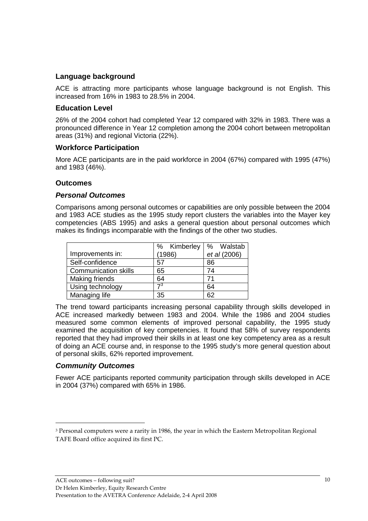# **Language background**

ACE is attracting more participants whose language background is not English. This increased from 16% in 1983 to 28.5% in 2004.

## **Education Level**

26% of the 2004 cohort had completed Year 12 compared with 32% in 1983. There was a pronounced difference in Year 12 completion among the 2004 cohort between metropolitan areas (31%) and regional Victoria (22%).

# **Workforce Participation**

More ACE participants are in the paid workforce in 2004 (67%) compared with 1995 (47%) and 1983 (46%).

## **Outcomes**

#### **Personal Outcomes**

Comparisons among personal outcomes or capabilities are only possible between the 2004 and 1983 ACE studies as the 1995 study report clusters the variables into the Mayer key competencies (ABS 1995) and asks a general question about personal outcomes which makes its findings incomparable with the findings of the other two studies.

|                             | % Kimberley | % Walstab    |  |
|-----------------------------|-------------|--------------|--|
| Improvements in:            | (1986)      | et al (2006) |  |
| Self-confidence             | 57          | 86           |  |
| <b>Communication skills</b> | 65          | 74           |  |
| Making friends              | 64          | 71           |  |
| Using technology            | 73          | 64           |  |
| Managing life               | 35          | 62           |  |

The trend toward participants increasing personal capability through skills developed in ACE increased markedly between 1983 and 2004. While the 1986 and 2004 studies measured some common elements of improved personal capability, the 1995 study examined the acquisition of key competencies. It found that 58% of survey respondents reported that they had improved their skills in at least one key competency area as a result of doing an ACE course and, in response to the 1995 study's more general question about of personal skills, 62% reported improvement.

#### **Community Outcomes**

-

Fewer ACE participants reported community participation through skills developed in ACE in 2004 (37%) compared with 65% in 1986.

<sup>3</sup> Personal computers were a rarity in 1986, the year in which the Eastern Metropolitan Regional TAFE Board office acquired its first PC.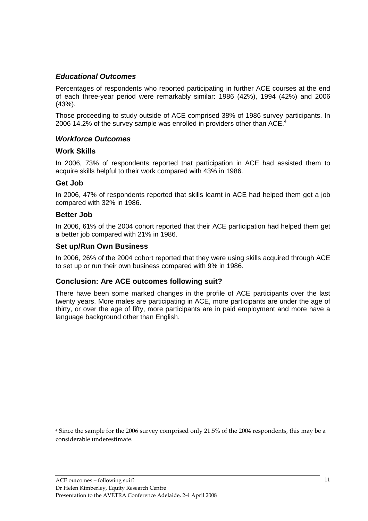# **Educational Outcomes**

Percentages of respondents who reported participating in further ACE courses at the end of each three-year period were remarkably similar: 1986 (42%), 1994 (42%) and 2006 (43%).

Those proceeding to study outside of ACE comprised 38% of 1986 survey participants. In 2006 14.2% of the survey sample was enrolled in providers other than ACE.<sup>4</sup>

# **Workforce Outcomes**

#### **Work Skills**

In 2006, 73% of respondents reported that participation in ACE had assisted them to acquire skills helpful to their work compared with 43% in 1986.

## **Get Job**

In 2006, 47% of respondents reported that skills learnt in ACE had helped them get a job compared with 32% in 1986.

#### **Better Job**

-

In 2006, 61% of the 2004 cohort reported that their ACE participation had helped them get a better job compared with 21% in 1986.

## **Set up/Run Own Business**

In 2006, 26% of the 2004 cohort reported that they were using skills acquired through ACE to set up or run their own business compared with 9% in 1986.

# **Conclusion: Are ACE outcomes following suit?**

There have been some marked changes in the profile of ACE participants over the last twenty years. More males are participating in ACE, more participants are under the age of thirty, or over the age of fifty, more participants are in paid employment and more have a language background other than English.

<sup>4</sup> Since the sample for the 2006 survey comprised only 21.5% of the 2004 respondents, this may be a considerable underestimate.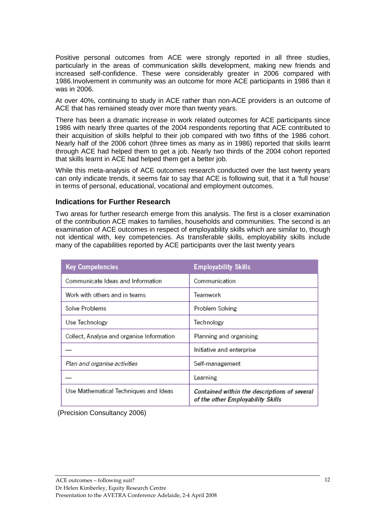Positive personal outcomes from ACE were strongly reported in all three studies, particularly in the areas of communication skills development, making new friends and increased self-confidence. These were considerably greater in 2006 compared with 1986.Involvement in community was an outcome for more ACE participants in 1986 than it was in 2006.

At over 40%, continuing to study in ACE rather than non-ACE providers is an outcome of ACE that has remained steady over more than twenty years.

There has been a dramatic increase in work related outcomes for ACE participants since 1986 with nearly three quartes of the 2004 respondents reporting that ACE contributed to their acquisition of skills helpful to their job compared with two fifths of the 1986 cohort. Nearly half of the 2006 cohort (three times as many as in 1986) reported that skills learnt through ACE had helped them to get a job. Nearly two thirds of the 2004 cohort reported that skills learnt in ACE had helped them get a better job.

While this meta-analysis of ACE outcomes research conducted over the last twenty years can only indicate trends, it seems fair to say that ACE is following suit, that it a 'full house' in terms of personal, educational, vocational and employment outcomes.

## **Indications for Further Research**

Two areas for further research emerge from this analysis. The first is a closer examination of the contribution ACE makes to families, households and communities. The second is an examination of ACE outcomes in respect of employability skills which are similar to, though not identical with, key competencies. As transferable skills, employability skills include many of the capabilities reported by ACE participants over the last twenty years

| <b>Key Competencies</b>                   | <b>Employability Skills</b>                                                       |  |
|-------------------------------------------|-----------------------------------------------------------------------------------|--|
| Communicate Ideas and Information         | Communication                                                                     |  |
| Work with others and in teams             | Teamwork                                                                          |  |
| Solve Problems                            | Problem Solving                                                                   |  |
| Use Technology                            | Technology                                                                        |  |
| Collect, Analyse and organise Information | Planning and organising                                                           |  |
|                                           | Initiative and enterprise                                                         |  |
| Plan and organise activities              | Self-management                                                                   |  |
|                                           | Learning                                                                          |  |
| Use Mathematical Techniques and Ideas     | Contained within the descriptions of several<br>of the other Employability Skills |  |

(Precision Consultancy 2006)